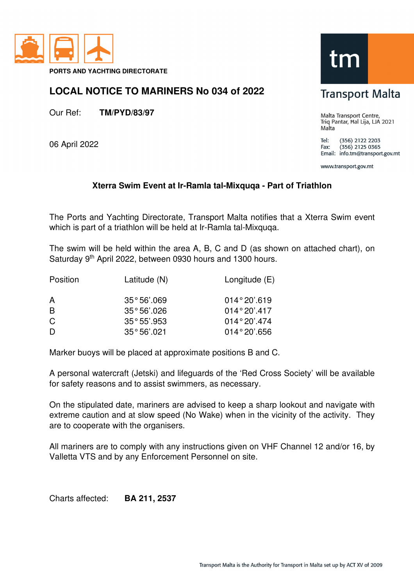

## **LOCAL NOTICE TO MARINERS No 034 of 2022**

Our Ref: **TM/PYD/83/97** 

06 April 2022

## tr

## **Transport Malta**

Malta Transport Centre, Triq Pantar, Hal Lija, LJA 2021 Malta

Tel: (356) 2122 2203  $(356)$  2125 0365 Fax: Email: info.tm@transport.gov.mt

www.transport.gov.mt

## **Xterra Swim Event at Ir-Ramla tal-Mixquqa - Part of Triathlon**

The Ports and Yachting Directorate, Transport Malta notifies that a Xterra Swim event which is part of a triathlon will be held at Ir-Ramla tal-Mixquqa.

The swim will be held within the area A, B, C and D (as shown on attached chart), on Saturday 9<sup>th</sup> April 2022, between 0930 hours and 1300 hours.

| Position | Latitude (N)         | Longitude $(E)$ |
|----------|----------------------|-----------------|
| A        | 35°56'069            | $014°20'$ .619  |
| B        | $35^{\circ}56'$ .026 | $014°20'$ .417  |
| C        | 35°55'0.953          | $014°20'$ .474  |
| D        | $35^{\circ}56'$ .021 | $014°20'$ .656  |

Marker buoys will be placed at approximate positions B and C.

A personal watercraft (Jetski) and lifeguards of the 'Red Cross Society' will be available for safety reasons and to assist swimmers, as necessary.

On the stipulated date, mariners are advised to keep a sharp lookout and navigate with extreme caution and at slow speed (No Wake) when in the vicinity of the activity. They are to cooperate with the organisers.

All mariners are to comply with any instructions given on VHF Channel 12 and/or 16, by Valletta VTS and by any Enforcement Personnel on site.

Charts affected: **BA 211, 2537**